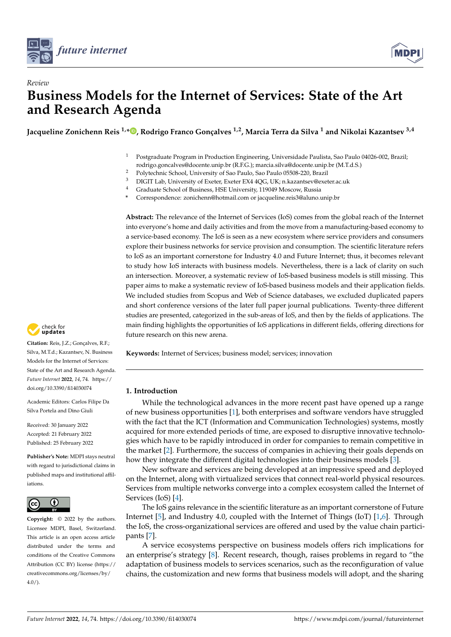

*Review*



# **Business Models for the Internet of Services: State of the Art and Research Agenda**

**Jacqueline Zonichenn Reis 1,[\\*](https://orcid.org/0000-0001-6710-6430) , Rodrigo Franco Gonçalves 1,2, Marcia Terra da Silva <sup>1</sup> and Nikolai Kazantsev 3,4**

- <sup>1</sup> Postgraduate Program in Production Engineering, Universidade Paulista, Sao Paulo 04026-002, Brazil; rodrigo.goncalves@docente.unip.br (R.F.G.); marcia.silva@docente.unip.br (M.T.d.S.)
- <sup>2</sup> Polytechnic School, University of Sao Paulo, Sao Paulo 05508-220, Brazil<br><sup>3</sup> DICIT Leb University of Eveter Exeter EXA 4OC UK: p. legantesy@over
- <sup>3</sup> DIGIT Lab, University of Exeter, Exeter EX4 4QG, UK; n.kazantsev@exeter.ac.uk<br><sup>4</sup> Craduate Sebasel of Pusiness, HSE University, 110040 Messexy, Pussia
- <sup>4</sup> Graduate School of Business, HSE University, 119049 Moscow, Russia
- **\*** Correspondence: zonichenn@hotmail.com or jacqueline.reis3@aluno.unip.br

**Abstract:** The relevance of the Internet of Services (IoS) comes from the global reach of the Internet into everyone's home and daily activities and from the move from a manufacturing-based economy to a service-based economy. The IoS is seen as a new ecosystem where service providers and consumers explore their business networks for service provision and consumption. The scientific literature refers to IoS as an important cornerstone for Industry 4.0 and Future Internet; thus, it becomes relevant to study how IoS interacts with business models. Nevertheless, there is a lack of clarity on such an intersection. Moreover, a systematic review of IoS-based business models is still missing. This paper aims to make a systematic review of IoS-based business models and their application fields. We included studies from Scopus and Web of Science databases, we excluded duplicated papers and short conference versions of the later full paper journal publications. Twenty-three different studies are presented, categorized in the sub-areas of IoS, and then by the fields of applications. The main finding highlights the opportunities of IoS applications in different fields, offering directions for future research on this new arena.

**Keywords:** Internet of Services; business model; services; innovation

# **1. Introduction**

While the technological advances in the more recent past have opened up a range of new business opportunities [\[1\]](#page-14-0), both enterprises and software vendors have struggled with the fact that the ICT (Information and Communication Technologies) systems, mostly acquired for more extended periods of time, are exposed to disruptive innovative technologies which have to be rapidly introduced in order for companies to remain competitive in the market [\[2\]](#page-14-1). Furthermore, the success of companies in achieving their goals depends on how they integrate the different digital technologies into their business models [\[3\]](#page-14-2).

New software and services are being developed at an impressive speed and deployed on the Internet, along with virtualized services that connect real-world physical resources. Services from multiple networks converge into a complex ecosystem called the Internet of Services (IoS) [\[4\]](#page-14-3).

The IoS gains relevance in the scientific literature as an important cornerstone of Future Internet [\[5\]](#page-14-4), and Industry 4.0, coupled with the Internet of Things (IoT) [\[1](#page-14-0)[,6\]](#page-14-5). Through the IoS, the cross-organizational services are offered and used by the value chain participants [\[7\]](#page-14-6).

A service ecosystems perspective on business models offers rich implications for an enterprise's strategy [\[8\]](#page-14-7). Recent research, though, raises problems in regard to "the adaptation of business models to services scenarios, such as the reconfiguration of value chains, the customization and new forms that business models will adopt, and the sharing



**Citation:** Reis, J.Z.; Gonçalves, R.F.; Silva, M.T.d.; Kazantsev, N. Business Models for the Internet of Services: State of the Art and Research Agenda. *Future Internet* **2022**, *14*, 74. [https://](https://doi.org/10.3390/fi14030074) [doi.org/10.3390/fi14030074](https://doi.org/10.3390/fi14030074)

Academic Editors: Carlos Filipe Da Silva Portela and Dino Giuli

Received: 30 January 2022 Accepted: 21 February 2022 Published: 25 February 2022

**Publisher's Note:** MDPI stays neutral with regard to jurisdictional claims in published maps and institutional affiliations.



**Copyright:** © 2022 by the authors. Licensee MDPI, Basel, Switzerland. This article is an open access article distributed under the terms and conditions of the Creative Commons Attribution (CC BY) license [\(https://](https://creativecommons.org/licenses/by/4.0/) [creativecommons.org/licenses/by/](https://creativecommons.org/licenses/by/4.0/)  $4.0/$ ).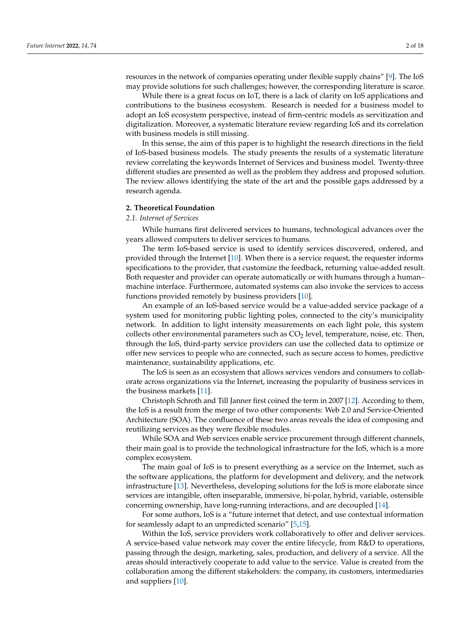resources in the network of companies operating under flexible supply chains" [\[9\]](#page-15-0). The IoS may provide solutions for such challenges; however, the corresponding literature is scarce.

While there is a great focus on IoT, there is a lack of clarity on IoS applications and contributions to the business ecosystem. Research is needed for a business model to adopt an IoS ecosystem perspective, instead of firm-centric models as servitization and digitalization. Moreover, a systematic literature review regarding IoS and its correlation with business models is still missing.

In this sense, the aim of this paper is to highlight the research directions in the field of IoS-based business models. The study presents the results of a systematic literature review correlating the keywords Internet of Services and business model. Twenty-three different studies are presented as well as the problem they address and proposed solution. The review allows identifying the state of the art and the possible gaps addressed by a research agenda.

#### **2. Theoretical Foundation**

#### *2.1. Internet of Services*

While humans first delivered services to humans, technological advances over the years allowed computers to deliver services to humans.

The term IoS-based service is used to identify services discovered, ordered, and provided through the Internet [\[10\]](#page-15-1). When there is a service request, the requester informs specifications to the provider, that customize the feedback, returning value-added result. Both requester and provider can operate automatically or with humans through a human– machine interface. Furthermore, automated systems can also invoke the services to access functions provided remotely by business providers [\[10\]](#page-15-1).

An example of an IoS-based service would be a value-added service package of a system used for monitoring public lighting poles, connected to the city's municipality network. In addition to light intensity measurements on each light pole, this system collects other environmental parameters such as  $CO<sub>2</sub>$  level, temperature, noise, etc. Then, through the IoS, third-party service providers can use the collected data to optimize or offer new services to people who are connected, such as secure access to homes, predictive maintenance, sustainability applications, etc.

The IoS is seen as an ecosystem that allows services vendors and consumers to collaborate across organizations via the Internet, increasing the popularity of business services in the business markets [\[11\]](#page-15-2).

Christoph Schroth and Till Janner first coined the term in 2007 [\[12\]](#page-15-3). According to them, the IoS is a result from the merge of two other components: Web 2.0 and Service-Oriented Architecture (SOA). The confluence of these two areas reveals the idea of composing and reutilizing services as they were flexible modules.

While SOA and Web services enable service procurement through different channels, their main goal is to provide the technological infrastructure for the IoS, which is a more complex ecosystem.

The main goal of IoS is to present everything as a service on the Internet, such as the software applications, the platform for development and delivery, and the network infrastructure [\[13\]](#page-15-4). Nevertheless, developing solutions for the IoS is more elaborate since services are intangible, often inseparable, immersive, bi-polar, hybrid, variable, ostensible concerning ownership, have long-running interactions, and are decoupled [\[14\]](#page-15-5).

For some authors, IoS is a "future internet that detect, and use contextual information for seamlessly adapt to an unpredicted scenario" [\[5,](#page-14-4)[15\]](#page-15-6).

Within the IoS, service providers work collaboratively to offer and deliver services. A service-based value network may cover the entire lifecycle, from R&D to operations, passing through the design, marketing, sales, production, and delivery of a service. All the areas should interactively cooperate to add value to the service. Value is created from the collaboration among the different stakeholders: the company, its customers, intermediaries and suppliers [\[10\]](#page-15-1).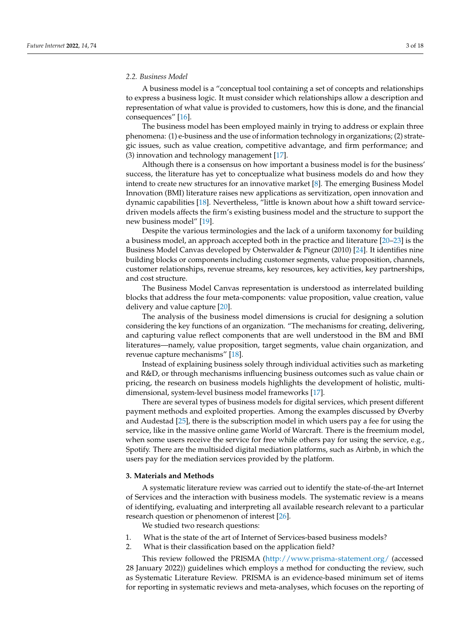#### *2.2. Business Model*

A business model is a "conceptual tool containing a set of concepts and relationships to express a business logic. It must consider which relationships allow a description and representation of what value is provided to customers, how this is done, and the financial consequences" [\[16\]](#page-15-7).

The business model has been employed mainly in trying to address or explain three phenomena: (1) e-business and the use of information technology in organizations; (2) strategic issues, such as value creation, competitive advantage, and firm performance; and (3) innovation and technology management [\[17\]](#page-15-8).

Although there is a consensus on how important a business model is for the business' success, the literature has yet to conceptualize what business models do and how they intend to create new structures for an innovative market [\[8\]](#page-14-7). The emerging Business Model Innovation (BMI) literature raises new applications as servitization, open innovation and dynamic capabilities [\[18\]](#page-15-9). Nevertheless, "little is known about how a shift toward servicedriven models affects the firm's existing business model and the structure to support the new business model" [\[19\]](#page-15-10).

Despite the various terminologies and the lack of a uniform taxonomy for building a business model, an approach accepted both in the practice and literature [\[20–](#page-15-11)[23\]](#page-15-12) is the Business Model Canvas developed by Osterwalder & Pigneur (2010) [\[24\]](#page-15-13). It identifies nine building blocks or components including customer segments, value proposition, channels, customer relationships, revenue streams, key resources, key activities, key partnerships, and cost structure.

The Business Model Canvas representation is understood as interrelated building blocks that address the four meta-components: value proposition, value creation, value delivery and value capture [\[20\]](#page-15-11).

The analysis of the business model dimensions is crucial for designing a solution considering the key functions of an organization. "The mechanisms for creating, delivering, and capturing value reflect components that are well understood in the BM and BMI literatures—namely, value proposition, target segments, value chain organization, and revenue capture mechanisms" [\[18\]](#page-15-9).

Instead of explaining business solely through individual activities such as marketing and R&D, or through mechanisms influencing business outcomes such as value chain or pricing, the research on business models highlights the development of holistic, multidimensional, system-level business model frameworks [\[17\]](#page-15-8).

There are several types of business models for digital services, which present different payment methods and exploited properties. Among the examples discussed by Øverby and Audestad [\[25\]](#page-15-14), there is the subscription model in which users pay a fee for using the service, like in the massive online game World of Warcraft. There is the freemium model, when some users receive the service for free while others pay for using the service, e.g., Spotify. There are the multisided digital mediation platforms, such as Airbnb, in which the users pay for the mediation services provided by the platform.

## **3. Materials and Methods**

A systematic literature review was carried out to identify the state-of-the-art Internet of Services and the interaction with business models. The systematic review is a means of identifying, evaluating and interpreting all available research relevant to a particular research question or phenomenon of interest [\[26\]](#page-15-15).

We studied two research questions:

- 1. What is the state of the art of Internet of Services-based business models?
- 2. What is their classification based on the application field?

This review followed the PRISMA [\(http://www.prisma-statement.org/](http://www.prisma-statement.org/) (accessed 28 January 2022)) guidelines which employs a method for conducting the review, such as Systematic Literature Review. PRISMA is an evidence-based minimum set of items for reporting in systematic reviews and meta-analyses, which focuses on the reporting of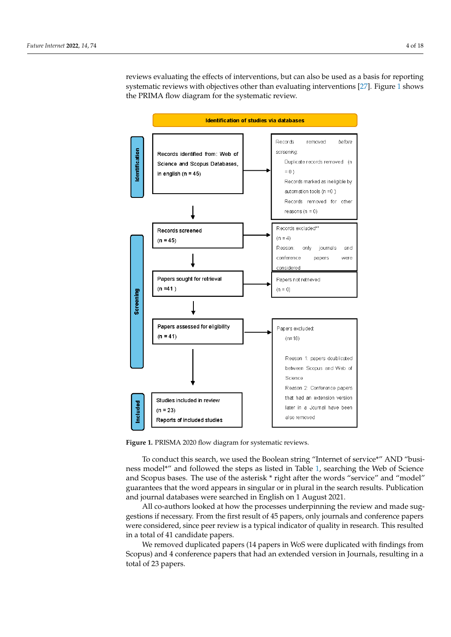reviews evaluating the effects of interventions, but can also be used as a basis for reporting systematic reviews with objectives other than evaluating interventions [\[27\]](#page-15-16). Figure 1 shows systematic reviews with objectives other than evaluating interventions [27]. [Fi](#page-3-0)gure 1 the PRIMA flow diagram for the systematic review.

<span id="page-3-0"></span>

**Figure 1.** PRISMA 2020 flow diagram for systematic reviews. **Figure 1.** PRISMA 2020 flow diagram for systematic reviews.

To conduct this search, we used the Boolean string "Internet of service\*" AND "busi-To conduct this search, we used the Boolean string "Internet of service\*" AND "busi-ness model\*" and followed the steps as listed in Table [1,](#page-4-0) searching the Web of Science  $\overline{a}$ and Scopus bases. The use of the asterisk \* right after the words "service" and "model" guarantees that the word appears in singular or in plural in the search results. Publication in the search results. Publication journal databases were searched in English on 1 August 2021. and journal databases were searched in English on 1 August 2021.

All co-authors looked at how the processes underpinning the review and made sug-All co-authors looked at how the processes underpinning the review and made suggestions if necessary. From the first result of 45 papers, only journals and conference papers pers were considered, since peer review is a typical indicator of quality in research. This were considered, since peer review is a typical indicator of quality in research. This resulted in a total of 41 candidate papers.

It a total of 41 candidate papers.<br>We removed duplicated papers (14 papers in WoS were duplicated with findings from Scopus) and 4 conference papers that had an extended version in Journals, resulting in a total of 23 papers.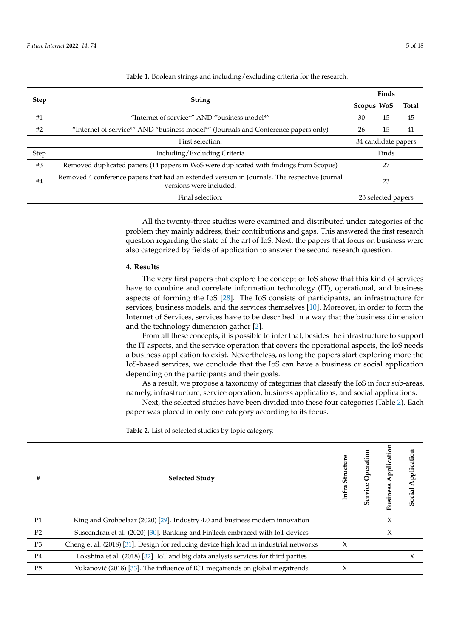| <b>Step</b> | <b>String</b>                                                                                                           |                     | Finds              |       |  |
|-------------|-------------------------------------------------------------------------------------------------------------------------|---------------------|--------------------|-------|--|
|             |                                                                                                                         |                     | Scopus WoS         | Total |  |
| #1          | "Internet of service*" AND "business model*"                                                                            | 30                  | 15                 | 45    |  |
| #2          | "Internet of service*" AND "business model*" (Journals and Conference papers only)                                      | 26                  | 15                 | 41    |  |
|             | First selection:                                                                                                        | 34 candidate papers |                    |       |  |
| Step        | Including/Excluding Criteria                                                                                            |                     | Finds              |       |  |
| #3          | Removed duplicated papers (14 papers in WoS were duplicated with findings from Scopus)                                  |                     | 27                 |       |  |
| #4          | Removed 4 conference papers that had an extended version in Journals. The respective Journal<br>versions were included. |                     | 23                 |       |  |
|             | Final selection:                                                                                                        |                     | 23 selected papers |       |  |

<span id="page-4-0"></span>**Table 1.** Boolean strings and including/excluding criteria for the research.

All the twenty-three studies were examined and distributed under categories of the problem they mainly address, their contributions and gaps. This answered the first research question regarding the state of the art of IoS. Next, the papers that focus on business were also categorized by fields of application to answer the second research question.

#### **4. Results**

The very first papers that explore the concept of IoS show that this kind of services have to combine and correlate information technology (IT), operational, and business aspects of forming the IoS [\[28\]](#page-15-17). The IoS consists of participants, an infrastructure for services, business models, and the services themselves [\[10\]](#page-15-1). Moreover, in order to form the Internet of Services, services have to be described in a way that the business dimension and the technology dimension gather [\[2\]](#page-14-1).

From all these concepts, it is possible to infer that, besides the infrastructure to support the IT aspects, and the service operation that covers the operational aspects, the IoS needs a business application to exist. Nevertheless, as long the papers start exploring more the IoS-based services, we conclude that the IoS can have a business or social application depending on the participants and their goals.

As a result, we propose a taxonomy of categories that classify the IoS in four sub-areas, namely, infrastructure, service operation, business applications, and social applications.

Next, the selected studies have been divided into these four categories (Table [2\)](#page-4-1). Each paper was placed in only one category according to its focus.

<span id="page-4-1"></span>**Table 2.** List of selected studies by topic category.

| #              | <b>Selected Study</b>                                                                 | Structure<br>Infra | Service Operation | pplication<br><b>Business</b> | Application<br><b>Social</b> |
|----------------|---------------------------------------------------------------------------------------|--------------------|-------------------|-------------------------------|------------------------------|
| P <sub>1</sub> | King and Grobbelaar (2020) [29]. Industry 4.0 and business modem innovation           |                    |                   | $\chi$                        |                              |
| P <sub>2</sub> | Suseendran et al. (2020) [30]. Banking and FinTech embraced with IoT devices          |                    |                   | $\chi$                        |                              |
| P <sub>3</sub> | Cheng et al. (2018) [31]. Design for reducing device high load in industrial networks | $\chi$             |                   |                               |                              |
| P <sub>4</sub> | Lokshina et al. (2018) [32]. IoT and big data analysis services for third parties     |                    |                   |                               | X                            |
| P <sub>5</sub> | Vukanović (2018) [33]. The influence of ICT megatrends on global megatrends           | X                  |                   |                               |                              |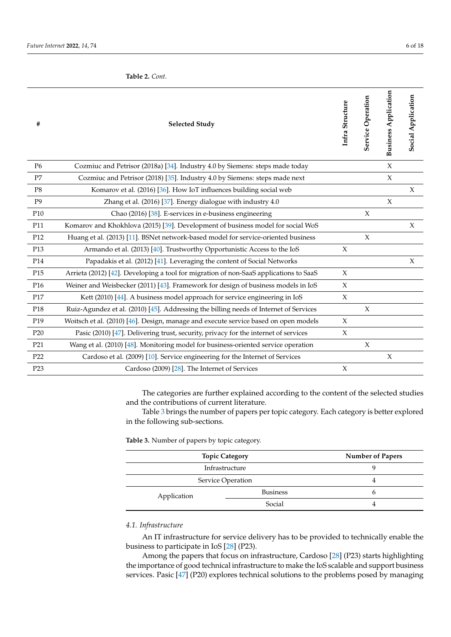#### **Table 2.** *Cont.*

| #               | <b>Selected Study</b>                                                                 | Infra Structure     | Service Operation   | <b>Business Application</b> | Social Application |
|-----------------|---------------------------------------------------------------------------------------|---------------------|---------------------|-----------------------------|--------------------|
| P <sub>6</sub>  | Cozmiuc and Petrisor (2018a) [34]. Industry 4.0 by Siemens: steps made today          |                     |                     | $\boldsymbol{\chi}$         |                    |
| P7              | Cozmiuc and Petrisor (2018) [35]. Industry 4.0 by Siemens: steps made next            |                     |                     | $\chi$                      |                    |
| P <sub>8</sub>  | Komarov et al. (2016) [36]. How IoT influences building social web                    |                     |                     |                             | $\chi$             |
| P <sub>9</sub>  | Zhang et al. (2016) [37]. Energy dialogue with industry 4.0                           |                     |                     | $\mathsf X$                 |                    |
| P <sub>10</sub> | Chao (2016) [38]. E-services in e-business engineering                                |                     | $\chi$              |                             |                    |
| P11             | Komarov and Khokhlova (2015) [39]. Development of business model for social WoS       |                     |                     |                             | $\chi$             |
| P <sub>12</sub> | Huang et al. (2013) [11]. BSNet network-based model for service-oriented business     |                     | $\chi$              |                             |                    |
| P13             | Armando et al. (2013) [40]. Trustworthy Opportunistic Access to the IoS               | X                   |                     |                             |                    |
| P14             | Papadakis et al. (2012) [41]. Leveraging the content of Social Networks               |                     |                     |                             | $\chi$             |
| P15             | Arrieta (2012) [42]. Developing a tool for migration of non-SaaS applications to SaaS | $\chi$              |                     |                             |                    |
| P <sub>16</sub> | Weiner and Weisbecker (2011) [43]. Framework for design of business models in IoS     | $\chi$              |                     |                             |                    |
| P17             | Kett (2010) [44]. A business model approach for service engineering in IoS            | $\boldsymbol{\chi}$ |                     |                             |                    |
| P <sub>18</sub> | Ruiz-Agundez et al. (2010) [45]. Addressing the billing needs of Internet of Services |                     | $\chi$              |                             |                    |
| P <sub>19</sub> | Woitsch et al. (2010) [46]. Design, manage and execute service based on open models   | $\boldsymbol{\chi}$ |                     |                             |                    |
| P <sub>20</sub> | Pasic (2010) [47]. Delivering trust, security, privacy for the internet of services   | $\boldsymbol{\chi}$ |                     |                             |                    |
| P21             | Wang et al. (2010) [48]. Monitoring model for business-oriented service operation     |                     | $\boldsymbol{\chi}$ |                             |                    |
| P <sub>22</sub> | Cardoso et al. (2009) [10]. Service engineering for the Internet of Services          |                     |                     | $\chi$                      |                    |
| P <sub>23</sub> | Cardoso (2009) [28]. The Internet of Services                                         | $\chi$              |                     |                             |                    |
|                 |                                                                                       |                     |                     |                             |                    |

The categories are further explained according to the content of the selected studies and the contributions of current literature.

Table [3](#page-5-0) brings the number of papers per topic category. Each category is better explored in the following sub-sections.

<span id="page-5-0"></span>**Table 3.** Number of papers by topic category.

|                   | <b>Topic Category</b> |   |
|-------------------|-----------------------|---|
| Infrastructure    |                       |   |
| Service Operation |                       |   |
| Application       | <b>Business</b>       | O |
|                   | Social                |   |

# *4.1. Infrastructure*

An IT infrastructure for service delivery has to be provided to technically enable the business to participate in IoS [\[28\]](#page-15-17) (P23).

Among the papers that focus on infrastructure, Cardoso [\[28\]](#page-15-17) (P23) starts highlighting the importance of good technical infrastructure to make the IoS scalable and support business services. Pasic [\[47\]](#page-16-9) (P20) explores technical solutions to the problems posed by managing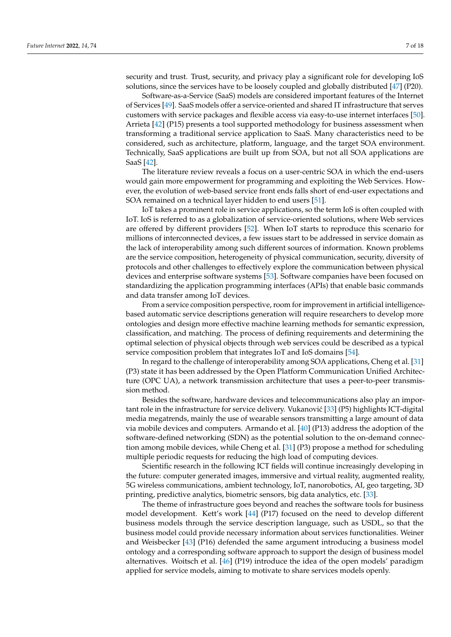security and trust. Trust, security, and privacy play a significant role for developing IoS solutions, since the services have to be loosely coupled and globally distributed [\[47\]](#page-16-9) (P20).

Software-as-a-Service (SaaS) models are considered important features of the Internet of Services [\[49\]](#page-16-11). SaaS models offer a service-oriented and shared IT infrastructure that serves customers with service packages and flexible access via easy-to-use internet interfaces [\[50\]](#page-16-12). Arrieta [\[42\]](#page-16-4) (P15) presents a tool supported methodology for business assessment when transforming a traditional service application to SaaS. Many characteristics need to be considered, such as architecture, platform, language, and the target SOA environment. Technically, SaaS applications are built up from SOA, but not all SOA applications are SaaS [\[42\]](#page-16-4).

The literature review reveals a focus on a user-centric SOA in which the end-users would gain more empowerment for programming and exploiting the Web Services. However, the evolution of web-based service front ends falls short of end-user expectations and SOA remained on a technical layer hidden to end users [\[51\]](#page-16-13).

IoT takes a prominent role in service applications, so the term IoS is often coupled with IoT. IoS is referred to as a globalization of service-oriented solutions, where Web services are offered by different providers [\[52\]](#page-16-14). When IoT starts to reproduce this scenario for millions of interconnected devices, a few issues start to be addressed in service domain as the lack of interoperability among such different sources of information. Known problems are the service composition, heterogeneity of physical communication, security, diversity of protocols and other challenges to effectively explore the communication between physical devices and enterprise software systems [\[53\]](#page-16-15). Software companies have been focused on standardizing the application programming interfaces (APIs) that enable basic commands and data transfer among IoT devices.

From a service composition perspective, room for improvement in artificial intelligencebased automatic service descriptions generation will require researchers to develop more ontologies and design more effective machine learning methods for semantic expression, classification, and matching. The process of defining requirements and determining the optimal selection of physical objects through web services could be described as a typical service composition problem that integrates IoT and IoS domains [\[54\]](#page-16-16).

In regard to the challenge of interoperability among SOA applications, Cheng et al. [\[31\]](#page-15-20) (P3) state it has been addressed by the Open Platform Communication Unified Architecture (OPC UA), a network transmission architecture that uses a peer-to-peer transmission method.

Besides the software, hardware devices and telecommunications also play an impor-tant role in the infrastructure for service delivery. Vukanović [\[33\]](#page-15-22) (P5) highlights ICT-digital media megatrends, mainly the use of wearable sensors transmitting a large amount of data via mobile devices and computers. Armando et al. [\[40\]](#page-16-2) (P13) address the adoption of the software-defined networking (SDN) as the potential solution to the on-demand connection among mobile devices, while Cheng et al. [\[31\]](#page-15-20) (P3) propose a method for scheduling multiple periodic requests for reducing the high load of computing devices.

Scientific research in the following ICT fields will continue increasingly developing in the future: computer generated images, immersive and virtual reality, augmented reality, 5G wireless communications, ambient technology, IoT, nanorobotics, AI, geo targeting, 3D printing, predictive analytics, biometric sensors, big data analytics, etc. [\[33\]](#page-15-22).

The theme of infrastructure goes beyond and reaches the software tools for business model development. Kett's work [\[44\]](#page-16-6) (P17) focused on the need to develop different business models through the service description language, such as USDL, so that the business model could provide necessary information about services functionalities. Weiner and Weisbecker [\[43\]](#page-16-5) (P16) defended the same argument introducing a business model ontology and a corresponding software approach to support the design of business model alternatives. Woitsch et al. [\[46\]](#page-16-8) (P19) introduce the idea of the open models' paradigm applied for service models, aiming to motivate to share services models openly.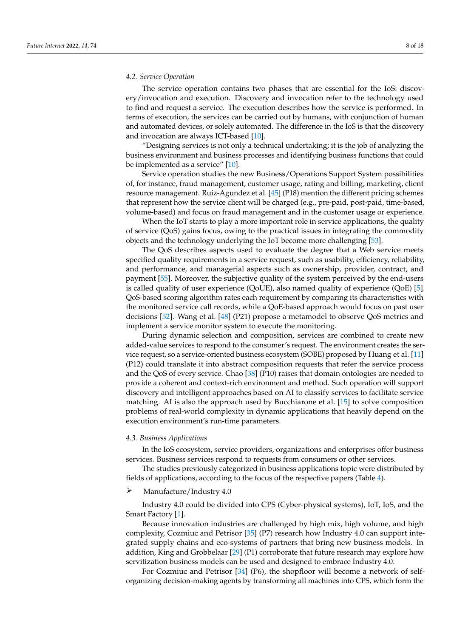#### *4.2. Service Operation*

The service operation contains two phases that are essential for the IoS: discovery/invocation and execution. Discovery and invocation refer to the technology used to find and request a service. The execution describes how the service is performed. In terms of execution, the services can be carried out by humans, with conjunction of human and automated devices, or solely automated. The difference in the  $I$ oS is that the discovery and invocation are always ICT-based  $[10]$ .

"Designing services is not only a technical undertaking; it is the job of analyzing the business environment and business processes and identifying business functions that could be implemented as a service" [\[10\]](#page-15-1). be implemented as a service  $\begin{bmatrix} 10 \end{bmatrix}$ .

Service operation studies the new Business/Operations Support System possibilities of, for instance, fraud management, customer usage, rating and billing, marketing, client resource management. Ruiz-Agundez et al. [\[45\]](#page-16-7) (P18) mention the different pricing schemes<br>died in the monitoring in the monitoring. that represent how the service client will be charged (e.g., pre-paid, post-paid, time-based,<br>reduced based) and formamic services are computed to the new composition and composition. volume-based) and focus on fraud management and in the customer usage or experience.<br>Added-value services to release the environment creates the environment creates the environment creates the en to service operation studies the new business, Operations support system possibilities

When the IoT starts to play a more important role in service applications, the quality of service (QoS) gains focus, owing to the practical issues in integrating the commodity of service (QoS) gains focus, owing to the practical issues in integrating the commodity  $\frac{1}{2}$  objects and the technology underlying the IoT become more challenging [\[53\]](#page-16-15).

process and the technology and the process and the changing prop.<br>The QoS describes aspects used to evaluate the degree that a Web service meets specified quality requirements in a service request, such as usability, efficiency, reliability, and performance, and managerial aspects such as ownership, provider, contract, and  $performation$ , payment [\[55\]](#page-16-17). Moreover, the subjective quality of the system perceived by the end-users is called quality of user experience (QoUE), also named quality of experience (QoE) [\[5\]](#page-14-4). QoS-based scoring algorithm rates each requirement by comparing its characteristics with the monitored service call records, while a QoE-based approach would focus on past user decisions [\[52\]](#page-16-14). Wang et al. [\[48\]](#page-16-10) (P21) propose a metamodel to observe QoS metrics and implement a service monitor system to execute the monitoring.

During dynamic selection and composition, services are combined to create new added-value services to respond to the consumer's request. The environment creates the ser-vice request, so a service-oriented business ecosystem (SOBE) proposed by Huang et al. [\[11\]](#page-15-2) (P12) could translate it into abstract composition requests that refer the service process and the QoS of every service. Chao [\[38\]](#page-16-0) (P10) raises that domain ontologies are needed to provide a coherent and context-rich environment and method. Such operation will support<br> **Figures** discovery and intelligent approaches based on AI to classify services to facilitate service **CONSTRANCE IS ALTERATED FOR ALTERATIVE CONSTRANCE OF A CONSTRANCE POSITION**<br> **SERVICE THE ANGLE IS A SERVICE OF A CONSTRANCE POSITION CONSTRANCE POSITION CONSTRANCE POSITION CONSTRANCE POSITION CONSTRANCE POSITION** problems of real-world complexity in dynamic applications that heavily depend on the n<br>execution environment's run-time parameters.

# **4.3. Business Applications**

In the IoS ecosystem, service providers, organizations and enterprises offer business services. Business services respond to requests from consumers or other services.

The studies previously categorized in business applications topic were distributed by fields of applications, according to the focus of the respective papers (Table [4\)](#page-8-0).

# Manufacture/Industry 4.0 Manufacture/Industry 4.0

Industry 4.0 could be divided into CPS (Cyber-physical systems), IoT, IoS, and the Industry 4.0 could be divided into CPS (Cyber-physical systems), IoT, IoS, and the Smart Factory [\[1\]](#page-14-0). Smart Factory [1].

Because innovation industries are challenged by high mix, high volume, and high Because innovation industries are challenged by high mix, high volume, and high complexity, Cozmiuc and Petrisor [\[35\]](#page-15-24) (P7) research how Industry 4.0 can support inte-complexity, Cozmiuc and Petrisor [35] (P7) research how Industry 4.0 can support integrated supply chains and eco-systems of partners that bring new business models. In addition, King and Grobbelaar [2[9\] \(](#page-15-18)P1) corroborate that future research may explore how servitization business models can be used and designed to embrace Industry 4.0. servitization business models can be used and designed to embrace Industry 4.0.

For Cozmiuc and Petrisor [[34\]](#page-15-23) (P6), the shopfloor will become a network of selforganizing decision-making agents by transforming all machines into CPS, which form the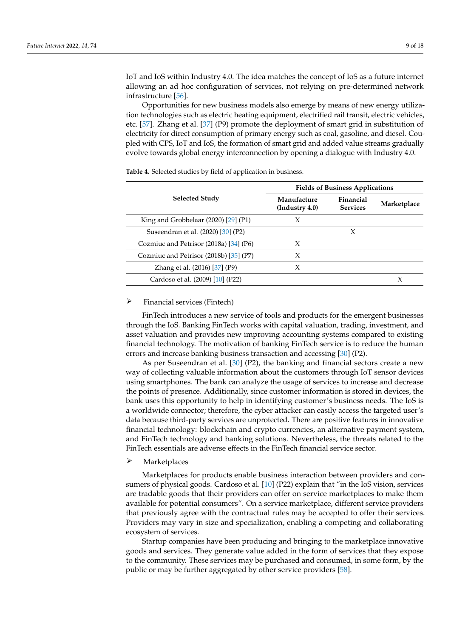IoT and IoS within Industry 4.0. The idea matches the concept of IoS as a future internet allowing an ad hoc configuration of services, not relying on pre-determined network  $infrastructure [56].$ for and tos within moustry 4.0. The Idea matches the concept of 105 as a full

process and the QoS of every service. Chao [38] (P10) raises that domain ontologies are

Opportunities for new business models also emerge by means of new energy utiliza-pend on the execution environment's run-time parameters. ified quality requirements in a service request, such as usability, efficiency, reliability, and tion technologies such as electric heating equipment, electrified rail transit, electric vehicles,<br>
[55]. Moreover, the system perceived by the system perceived by the system perceived by the system perceived b etc. [57]. Zhang et al. [\[37\]](#page-15-26) (P9) promote the deployment of smart grid in substitution of electricity for direct consumption of primary energy such as coal, gasoline, and diesel. Coupled with  ${\rm CPS}$ , IoT and IoS, the formation of smart grid and added value streams gradually evolve towards global energy interconnection by opening a dialogue with Industry 4.0. performance, and managerial aspects such as ownership, provider, contract, and payment pred while a cylist relations, the formation of small grid and added water structure gradually evoire towards global energy interconnection by opening a dialogue with industry 1.0.

|                                        | <b>Fields of Business Applications</b> |                              |             |  |
|----------------------------------------|----------------------------------------|------------------------------|-------------|--|
| <b>Selected Study</b>                  | Manufacture<br>(Industry 4.0)          | Financial<br><b>Services</b> | Marketplace |  |
| King and Grobbelaar (2020) [29] (P1)   | X                                      |                              |             |  |
| Suseendran et al. (2020) [30] (P2)     |                                        | X                            |             |  |
| Cozmiuc and Petrisor (2018a) [34] (P6) | X                                      |                              |             |  |
| Cozmiuc and Petrisor (2018b) [35] (P7) | X                                      |                              |             |  |
| Zhang et al. (2016) [37] (P9)          | X                                      |                              |             |  |
| Cardoso et al. (2009) [10] (P22)       |                                        |                              | X           |  |

<span id="page-8-0"></span>**Table 4.** Selected studies by field of application in business.  $\Omega$  defection and composition and components in a composition, services are components of the components of  $\Omega$ 

# $\triangleright$  Financial services (Fintech) In the IoS ecosystem, service providers, organizations and enterprises of enterprises of enterprises of  $\mu$

FinTech introduces a new service of tools and products for the emergent businesses through the IoS. Banking FinTech works with capital valuation, trading, investment, and through the IoS. Banking FinTech works with capital valuation, trading, investment, and asset valuation and provides new improving accounting systems compared to existing financial technology. The motivation of banking FinTech service is to reduce the human errors and increase banking business transaction and accessing [\[30\]](#page-15-19) (P2).

As per Suseendran et al. [30] (P2), the banking and financial sectors create a new way of collecting valuable information about the customers through IoT sensor devices<br>using emerghance. The bank can analyze the usage of services to increase and decrease For Collecting and the Self-or-the self-or-the short will be considered the signal consideration of the short of services to increase and decrease the points of presence. Additionally, since customer information is stored in devices, the bank uses this opportunity to help in identifying customer's business needs. The IoS is a worldwide connector; therefore, the cyber attacker can easily access the targeted user's data because third-party services are unprotected. There are positive features in innovative financial technology: blockchain and crypto currencies, an alternative payment system, and FinTech technology and banking solutions. Nevertheless, the threats related to the FinTech essentials are adverse effects in the FinTech financial service sector.

# $\triangleright$  Marketplaces

Marketplaces for products enable business interaction between providers and con-sumers of physical goods. Cardoso et al. [\[10\]](#page-15-1) (P22) explain that "in the IoS vision, services are tradable goods that their providers can offer on service marketplaces to make them available for potential consumers". On a service marketplace, different service providers that previously agree with the contractual rules may be accepted to offer their services. Providers may vary in size and specialization, enabling a competing and collaborating ecosystem of services. The used and designed to embrace Industry 4.0.  $\mu$ 

Startup companies have been producing and bringing to the marketplace innovative goods and services. They generate value added in the form of services that they expose to the community. These services may be purchased and consumed, in some form, by the public or may be further aggregated by other service providers [\[58\]](#page-16-20).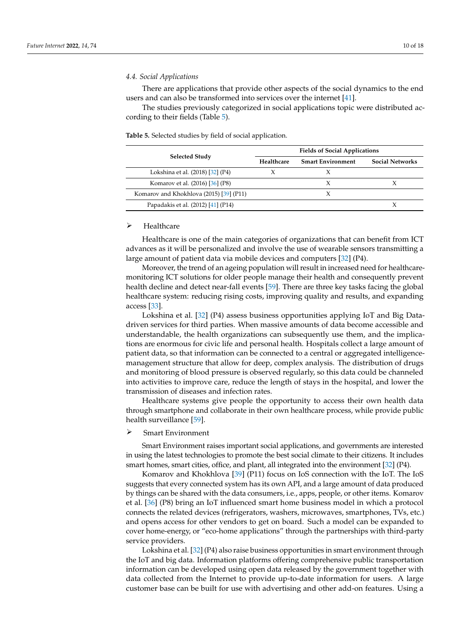# **4.4. Social Applications** topic were distributed in business applications of the studiers of the studiers such aspects such aspects such as  $\mu$  and  $\mu$ if if it is a service request, such as usability, such as usability, efficiency, reliability,  $\alpha$

There are applications that provide other aspects of the social dynamics to the end users and can also be transformed into services over the internet  $[41]$ .

objects and the technology underlying the IoT become more challenging [53].

The studies previously categorized in social applications topic were distributed according to their fields (Table  $5$ ).

<span id="page-9-0"></span> $\mathbb{Z}[\mathbb{Z}[\mathbb{Z}[\mathbb{Z}[\mathbb{Z}[\mathbb{Z}[\mathbb{Z}[\mathbb{Z}[\mathbb{Z}[\mathbb{Z}[\mathbb{Z}[\mathbb{Z}[\mathbb{Z}[\mathbb{Z}[\mathbb{Z}[\mathbb{Z}[\mathbb{Z}[\mathbb{Z}[\mathbb{Z}[\mathbb{Z}[\mathbb{Z}[\mathbb{Z}[\mathbb{Z}[\mathbb{Z}[\mathbb{Z}[\mathbb{Z}[\mathbb{Z}[\mathbb{Z}[\mathbb{Z}[\mathbb{Z}[\mathbb{Z}[\mathbb{Z}[\mathbb{Z}[\mathbb{Z}[\mathbb{Z}[\mathbb{Z}[\mathbb{$ 

|                                         | <b>Fields of Social Applications</b> |                          |                        |  |
|-----------------------------------------|--------------------------------------|--------------------------|------------------------|--|
| <b>Selected Study</b>                   | Healthcare                           | <b>Smart Environment</b> | <b>Social Networks</b> |  |
| Lokshina et al. (2018) [32] (P4)        |                                      |                          |                        |  |
| Komarov et al. (2016) [36] (P8)         |                                      | X                        | Х                      |  |
| Komarov and Khokhlova (2015) [39] (P11) |                                      | Χ                        |                        |  |
| Papadakis et al. (2012) [41] (P14)      |                                      |                          |                        |  |

Table 5. Selected studies by field of social application.

# $\triangleright$  Healthcare

Healthcare is one of the main categories of organizations that can benefit from ICT advances as it will be personalized and involve the use of wearable sensors transmitting a data are considered by high volume of performanced and higher one are character character charactering at large amount of patient data via mobile devices and computers [32] (P4).

Moreover, the trend of an ageing population will result in increased need for healthcaremonitoring ICT solutions for older people manage their health and consequently prevent health decline and detect near-fall events [59]. There are three key tasks facing the global healthcare system: reducing rising costs, improving quality and results, and expanding  $\text{fs}$  [33]. access [33].

Lokshina et al. [32] (P4) assess business opportunities applying IoT and Big Datadriven services for third parties. When massive amounts of data become accessible and **Figure 3. understandable, the health organizations can subsequently use them, and the implica-**<br>tions are an arm our for sixialife and narrangl health. Hearitals called a large amount of tions are enormous for civic life and personal health. Hospitals collect a large amount of patient data so that information can be connected to a control or accreciated intelligence patient data, so that information can be connected to a central or aggregated intelligence-.<br>management structure that allow for deep, complex analysis. The distribution of drugs and monitoring of blood pressure is observed regularly, so this data could be channeled into activities to improve care, reduce the length of stays in the hospital, and lower the transmission of diseases and infection rates.

Healthcare systems give people the opportunity to access their own health data through smartphone and collaborate in their own healthcare process, while provide public health surveillance [\[59\]](#page-16-21).

# $\triangleright$  Smart Environment

Smart Environment raises important social applications, and governments are interested in using the latest technologies to promote the best social climate to their citizens. It includes smart homes, smart cities, office, and plant, all integrated into the environment [32] (P4).

Komarov and Khokhlova [39] (P11) focus on IoS connection with the IoT. The IoS suggests that every connected system has its own API, and a large amount of data produced by things can be shared with the data consumers, i.e., apps, people, or other items. Komarov et al. [36] (P8) bring an IoT influenced smart home business model in which a protocol connects the related devices (refrigerators, washers, microwaves, smartphones, TVs, etc.) and opens access for other vendors to get on board. Such a model can be expanded to cover home-energy, or "eco-home applications" through the partnerships with third-party<br>service providers.

Lokshina et al. [\[32\]](#page-15-21) (P4) also raise business opportunities in smart environment through the IoT and big data. Information platforms offering comprehensive public transportation information can be developed using open data released by the government together with data collected from the Internet to provide up-to-date information for users. A large customer base can be built for use with advertising and other add-on features. Using a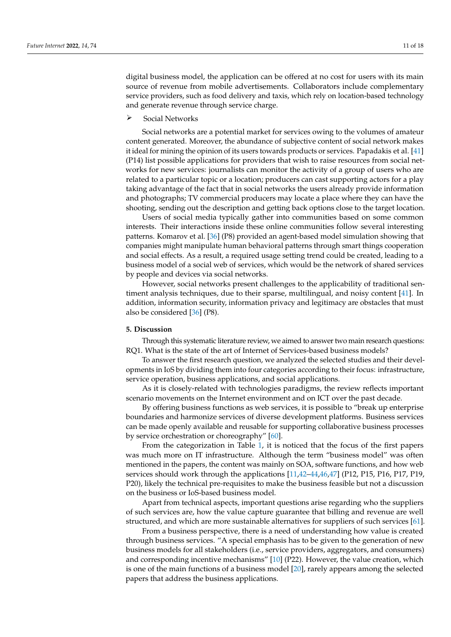digital business model, the application can be offered at no cost for users with its main source of revenue from mobile advertisements. Collaborators include complementary service providers, such as food delivery and taxis, which rely on location-based technology and generate revenue through service charge.

Suseendran et al. (2020) [30] (P2) X

 $\triangleright$  Social Networks

Social networks are a potential market for services owing to the volumes of amateur content generated. Moreover, the abundance of subjective content of social network makes it ideal for mining the opinion of its users towards products or services. Papadakis et al. [\[41\]](#page-16-3) (P14) list possible applications for providers that wish to raise resources from social networks for new services: journalists can monitor the activity of a group of users who are related to a particular topic or a location; producers can cast supporting actors for a play taking advantage of the fact that in social networks the users already provide information and photographs; TV commercial producers may locate a place where they can have the shooting, sending out the description and getting back options close to the target location.

Users of social media typically gather into communities based on some common interests. Their interactions inside these online communities follow several interesting patterns. Komarov et al. [\[36\]](#page-15-25) (P8) provided an agent-based model simulation showing that companies might manipulate human behavioral patterns through smart things cooperation and social effects. As a result, a required usage setting trend could be created, leading to a business model of a social web of services, which would be the network of shared services by people and devices via social networks.

However, social networks present challenges to the applicability of traditional sentiment analysis techniques, due to their sparse, multilingual, and noisy content [\[41\]](#page-16-3). In addition, information security, information privacy and legitimacy are obstacles that must also be considered [\[36\]](#page-15-25) (P8).

# **5. Discussion**

Through this systematic literature review, we aimed to answer two main research questions: RQ1. What is the state of the art of Internet of Services-based business models?

To answer the first research question, we analyzed the selected studies and their developments in IoS by dividing them into four categories according to their focus: infrastructure, service operation, business applications, and social applications.

As it is closely-related with technologies paradigms, the review reflects important scenario movements on the Internet environment and on ICT over the past decade.

By offering business functions as web services, it is possible to "break up enterprise boundaries and harmonize services of diverse development platforms. Business services can be made openly available and reusable for supporting collaborative business processes by service orchestration or choreography" [\[60\]](#page-16-22).

From the categorization in Table [1,](#page-4-0) it is noticed that the focus of the first papers was much more on IT infrastructure. Although the term "business model" was often mentioned in the papers, the content was mainly on SOA, software functions, and how web services should work through the applications [\[11](#page-15-2)[,42–](#page-16-4)[44](#page-16-6)[,46](#page-16-8)[,47\]](#page-16-9) (P12, P15, P16, P17, P19, P20), likely the technical pre-requisites to make the business feasible but not a discussion on the business or IoS-based business model.

Apart from technical aspects, important questions arise regarding who the suppliers of such services are, how the value capture guarantee that billing and revenue are well structured, and which are more sustainable alternatives for suppliers of such services [\[61\]](#page-16-23).

From a business perspective, there is a need of understanding how value is created through business services. "A special emphasis has to be given to the generation of new business models for all stakeholders (i.e., service providers, aggregators, and consumers) and corresponding incentive mechanisms" [\[10\]](#page-15-1) (P22). However, the value creation, which is one of the main functions of a business model [\[20\]](#page-15-11), rarely appears among the selected papers that address the business applications.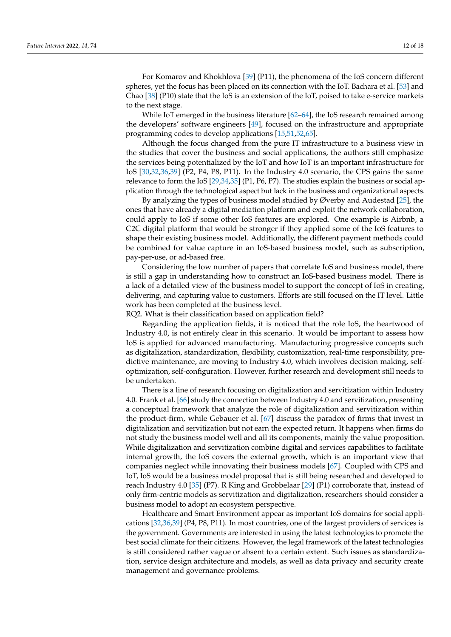For Komarov and Khokhlova [\[39\]](#page-16-1) (P11), the phenomena of the IoS concern different spheres, yet the focus has been placed on its connection with the IoT. Bachara et al. [\[53\]](#page-16-15) and Chao [\[38\]](#page-16-0) (P10) state that the IoS is an extension of the IoT, poised to take e-service markets to the next stage.

While IoT emerged in the business literature [\[62](#page-16-24)[–64\]](#page-17-0), the IoS research remained among the developers' software engineers [\[49\]](#page-16-11), focused on the infrastructure and appropriate programming codes to develop applications [\[15](#page-15-6)[,51,](#page-16-13)[52,](#page-16-14)[65\]](#page-17-1).

Although the focus changed from the pure IT infrastructure to a business view in the studies that cover the business and social applications, the authors still emphasize the services being potentialized by the IoT and how IoT is an important infrastructure for IoS [\[30,](#page-15-19)[32,](#page-15-21)[36,](#page-15-25)[39\]](#page-16-1) (P2, P4, P8, P11). In the Industry 4.0 scenario, the CPS gains the same relevance to form the IoS [\[29](#page-15-18)[,34,](#page-15-23)[35\]](#page-15-24) (P1, P6, P7). The studies explain the business or social application through the technological aspect but lack in the business and organizational aspects.

By analyzing the types of business model studied by Øverby and Audestad [\[25\]](#page-15-14), the ones that have already a digital mediation platform and exploit the network collaboration, could apply to IoS if some other IoS features are explored. One example is Airbnb, a C2C digital platform that would be stronger if they applied some of the IoS features to shape their existing business model. Additionally, the different payment methods could be combined for value capture in an IoS-based business model, such as subscription, pay-per-use, or ad-based free.

Considering the low number of papers that correlate IoS and business model, there is still a gap in understanding how to construct an IoS-based business model. There is a lack of a detailed view of the business model to support the concept of IoS in creating, delivering, and capturing value to customers. Efforts are still focused on the IT level. Little work has been completed at the business level.

RQ2. What is their classification based on application field?

Regarding the application fields, it is noticed that the role IoS, the heartwood of Industry 4.0, is not entirely clear in this scenario. It would be important to assess how IoS is applied for advanced manufacturing. Manufacturing progressive concepts such as digitalization, standardization, flexibility, customization, real-time responsibility, predictive maintenance, are moving to Industry 4.0, which involves decision making, selfoptimization, self-configuration. However, further research and development still needs to be undertaken.

There is a line of research focusing on digitalization and servitization within Industry 4.0. Frank et al. [\[66\]](#page-17-2) study the connection between Industry 4.0 and servitization, presenting a conceptual framework that analyze the role of digitalization and servitization within the product-firm, while Gebauer et al. [\[67\]](#page-17-3) discuss the paradox of firms that invest in digitalization and servitization but not earn the expected return. It happens when firms do not study the business model well and all its components, mainly the value proposition. While digitalization and servitization combine digital and services capabilities to facilitate internal growth, the IoS covers the external growth, which is an important view that companies neglect while innovating their business models [\[67\]](#page-17-3). Coupled with CPS and IoT, IoS would be a business model proposal that is still being researched and developed to reach Industry 4.0 [\[35\]](#page-15-24) (P7). R King and Grobbelaar [\[29\]](#page-15-18) (P1) corroborate that, instead of only firm-centric models as servitization and digitalization, researchers should consider a business model to adopt an ecosystem perspective.

Healthcare and Smart Environment appear as important IoS domains for social applications [\[32,](#page-15-21)[36](#page-15-25)[,39\]](#page-16-1) (P4, P8, P11). In most countries, one of the largest providers of services is the government. Governments are interested in using the latest technologies to promote the best social climate for their citizens. However, the legal framework of the latest technologies is still considered rather vague or absent to a certain extent. Such issues as standardization, service design architecture and models, as well as data privacy and security create management and governance problems.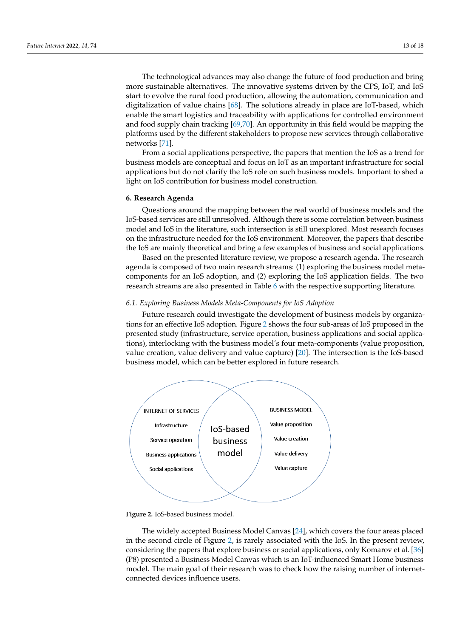The technological advances may also change the future of food production and bring more sustainable alternatives. The innovative systems driven by the CPS, IoT, and IoS start to evolve the rural food production, allowing the automation, communication and digitalization of value chains [\[68\]](#page-17-4). The solutions already in place are IoT-based, which enable the smart logistics and traceability with applications for controlled environment and food supply chain tracking [\[69,](#page-17-5)[70\]](#page-17-6). An opportunity in this field would be mapping the platforms used by the different stakeholders to propose new services through collaborative<br>potworks <sup>[71]</sup> networks [\[71\]](#page-17-7).

From a social applications perspective, the papers that mention the IoS as a trend for business models are conceptual and focus on IoT as an important infrastructure for social applications but do not clarify the IoS role on such business models. Important to shed a  $\frac{1}{10}$  light on IoS contribution for business model construction.  $\overline{a}$ 

# **6. Research Agenda** Based on the presented literature review, we present a research agent of  $\mathbf{r}$

Questions around the mapping between the real world of business models and the IoS-based services are still unresolved. Although there is some correlation between business model and IoS in the literature, such intersection is still unexplored. Most research focuses on the infrastructure needed for the IoS environment. Moreover, the papers that describe the IoS are mainly theoretical and bring a few examples of business and social applications.

Based on the presented literature review, we propose a research agenda. The research agenda is composed of two main research streams: (1) exploring the business model metacomponents for an IoS adoption, and (2) exploring the IoS application fields. The two research streams are also presented in Table  $6$  with the respective supporting literature.

#### *6.1. Exploring Business Models Meta-Components for IoS Adoption* osition, value creation, value delivery and value capture) [20]. The intersection is the IoSb.1. Exploring Business iviouels iviela-Components for to5 Auoption

Future research could investigate the development of business models by organizations for an effective IoS adoption. Figure 2 shows the four sub-areas of IoS proposed in the presented study (infrastructure, service operation, business applications and social applications), interlocking with the business model's four meta-components (value proposition, value creation, value delivery and value capture)  $[20]$ . The intersection is the IoS-based business model, which can be better explored in future research.

<span id="page-12-0"></span>

**Figure 2.** IoS-based business model. **Figure 2.** IoS-based business model.

The widely accepted Business Model Canvas [\[24\]](#page-15-13), which covers the four areas placed in the second circle of Figure 2, is rarely associated with the IoS. In the present review, considering the papers that explore business or social applications, only Komarov et al. [\[36\]](#page-15-25) (P8) presented a Business Model Canvas which is an IoT-influenced Smart Home business model. The main goal of their research was to check how the raising number of internetconnected devices influence users.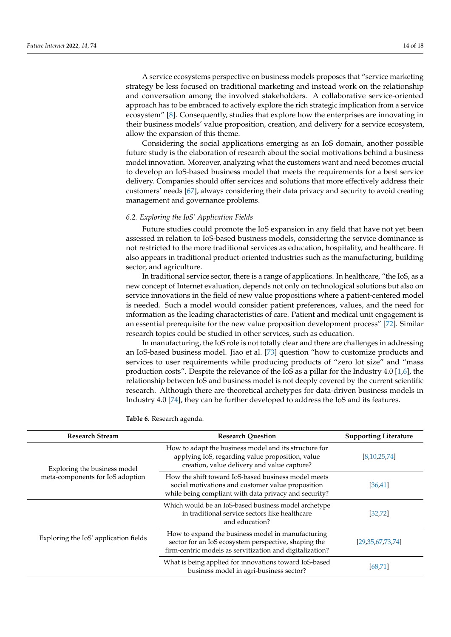A service ecosystems perspective on business models proposes that "service marketing strategy be less focused on traditional marketing and instead work on the relationship and conversation among the involved stakeholders. A collaborative service-oriented approach has to be embraced to actively explore the rich strategic implication from a service ecosystem" [\[8\]](#page-14-7). Consequently, studies that explore how the enterprises are innovating in their business models' value proposition, creation, and delivery for a service ecosystem, allow the expansion of this theme.

Considering the social applications emerging as an IoS domain, another possible future study is the elaboration of research about the social motivations behind a business model innovation. Moreover, analyzing what the customers want and need becomes crucial to develop an IoS-based business model that meets the requirements for a best service delivery. Companies should offer services and solutions that more effectively address their customers' needs [\[67\]](#page-17-3), always considering their data privacy and security to avoid creating management and governance problems.

#### *6.2. Exploring the IoS' Application Fields*

Future studies could promote the IoS expansion in any field that have not yet been assessed in relation to IoS-based business models, considering the service dominance is not restricted to the more traditional services as education, hospitality, and healthcare. It also appears in traditional product-oriented industries such as the manufacturing, building sector, and agriculture.

In traditional service sector, there is a range of applications. In healthcare, "the IoS, as a new concept of Internet evaluation, depends not only on technological solutions but also on service innovations in the field of new value propositions where a patient-centered model is needed. Such a model would consider patient preferences, values, and the need for information as the leading characteristics of care. Patient and medical unit engagement is an essential prerequisite for the new value proposition development process" [\[72\]](#page-17-8). Similar research topics could be studied in other services, such as education.

In manufacturing, the IoS role is not totally clear and there are challenges in addressing an IoS-based business model. Jiao et al. [\[73\]](#page-17-9) question "how to customize products and services to user requirements while producing products of "zero lot size" and "mass production costs". Despite the relevance of the IoS as a pillar for the Industry 4.0 [\[1](#page-14-0)[,6\]](#page-14-5), the relationship between IoS and business model is not deeply covered by the current scientific research. Although there are theoretical archetypes for data-driven business models in Industry 4.0 [\[74\]](#page-17-10), they can be further developed to address the IoS and its features.

| <b>Research Stream</b>                | <b>Research Question</b>                                                                                                                                              | <b>Supporting Literature</b> |  |
|---------------------------------------|-----------------------------------------------------------------------------------------------------------------------------------------------------------------------|------------------------------|--|
| Exploring the business model          | How to adapt the business model and its structure for<br>applying IoS, regarding value proposition, value<br>creation, value delivery and value capture?              | [8, 10, 25, 74]              |  |
| meta-components for IoS adoption      | How the shift toward IoS-based business model meets<br>social motivations and customer value proposition<br>while being compliant with data privacy and security?     | [36, 41]                     |  |
|                                       | Which would be an IoS-based business model archetype<br>in traditional service sectors like healthcare<br>and education?                                              | [32, 72]                     |  |
| Exploring the IoS' application fields | How to expand the business model in manufacturing<br>sector for an IoS ecosystem perspective, shaping the<br>firm-centric models as servitization and digitalization? | [29,35,67,73,74]             |  |
|                                       | What is being applied for innovations toward IoS-based<br>business model in agri-business sector?                                                                     | [68, 71]                     |  |

<span id="page-13-0"></span>**Table 6.** Research agenda.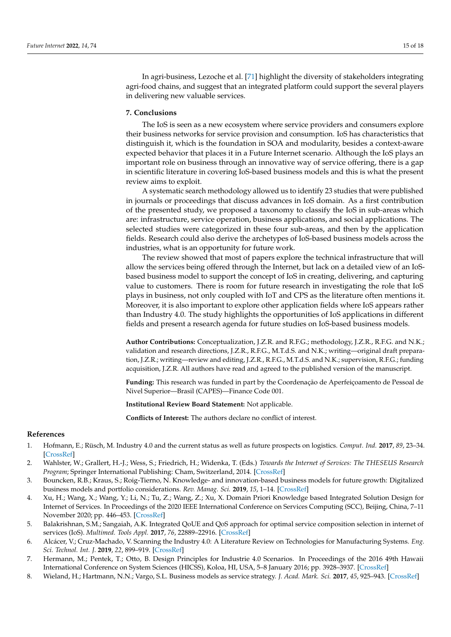In agri-business, Lezoche et al. [\[71\]](#page-17-7) highlight the diversity of stakeholders integrating agri-food chains, and suggest that an integrated platform could support the several players in delivering new valuable services.

# **7. Conclusions**

The IoS is seen as a new ecosystem where service providers and consumers explore their business networks for service provision and consumption. IoS has characteristics that distinguish it, which is the foundation in SOA and modularity, besides a context-aware expected behavior that places it in a Future Internet scenario. Although the IoS plays an important role on business through an innovative way of service offering, there is a gap in scientific literature in covering IoS-based business models and this is what the present review aims to exploit.

A systematic search methodology allowed us to identify 23 studies that were published in journals or proceedings that discuss advances in IoS domain. As a first contribution of the presented study, we proposed a taxonomy to classify the IoS in sub-areas which are: infrastructure, service operation, business applications, and social applications. The selected studies were categorized in these four sub-areas, and then by the application fields. Research could also derive the archetypes of IoS-based business models across the industries, what is an opportunity for future work.

The review showed that most of papers explore the technical infrastructure that will allow the services being offered through the Internet, but lack on a detailed view of an IoSbased business model to support the concept of IoS in creating, delivering, and capturing value to customers. There is room for future research in investigating the role that IoS plays in business, not only coupled with IoT and CPS as the literature often mentions it. Moreover, it is also important to explore other application fields where IoS appears rather than Industry 4.0. The study highlights the opportunities of IoS applications in different fields and present a research agenda for future studies on IoS-based business models.

**Author Contributions:** Conceptualization, J.Z.R. and R.F.G.; methodology, J.Z.R., R.F.G. and N.K.; validation and research directions, J.Z.R., R.F.G., M.T.d.S. and N.K.; writing—original draft preparation, J.Z.R.; writing—review and editing, J.Z.R., R.F.G., M.T.d.S. and N.K.; supervision, R.F.G.; funding acquisition, J.Z.R. All authors have read and agreed to the published version of the manuscript.

**Funding:** This research was funded in part by the Coordenação de Aperfeiçoamento de Pessoal de Nivel Superior—Brasil (CAPES)—Finance Code 001.

**Institutional Review Board Statement:** Not applicable.

**Conflicts of Interest:** The authors declare no conflict of interest.

#### **References**

- <span id="page-14-0"></span>1. Hofmann, E.; Rüsch, M. Industry 4.0 and the current status as well as future prospects on logistics. *Comput. Ind.* **2017**, *89*, 23–34. [\[CrossRef\]](http://doi.org/10.1016/j.compind.2017.04.002)
- <span id="page-14-1"></span>2. Wahlster, W.; Grallert, H.-J.; Wess, S.; Friedrich, H.; Widenka, T. (Eds.) *Towards the Internet of Services: The THESEUS Research Program*; Springer International Publishing: Cham, Switzerland, 2014. [\[CrossRef\]](http://doi.org/10.1007/978-3-319-06755-1)
- <span id="page-14-2"></span>3. Bouncken, R.B.; Kraus, S.; Roig-Tierno, N. Knowledge- and innovation-based business models for future growth: Digitalized business models and portfolio considerations. *Rev. Manag. Sci.* **2019**, *15*, 1–14. [\[CrossRef\]](http://doi.org/10.1007/s11846-019-00366-z)
- <span id="page-14-3"></span>4. Xu, H.; Wang, X.; Wang, Y.; Li, N.; Tu, Z.; Wang, Z.; Xu, X. Domain Priori Knowledge based Integrated Solution Design for Internet of Services. In Proceedings of the 2020 IEEE International Conference on Services Computing (SCC), Beijing, China, 7–11 November 2020; pp. 446–453. [\[CrossRef\]](http://doi.org/10.1109/SCC49832.2020.00065)
- <span id="page-14-4"></span>5. Balakrishnan, S.M.; Sangaiah, A.K. Integrated QoUE and QoS approach for optimal service composition selection in internet of services (IoS). *Multimed. Tools Appl.* **2017**, *76*, 22889–22916. [\[CrossRef\]](http://doi.org/10.1007/s11042-016-3837-9)
- <span id="page-14-5"></span>6. Alcácer, V.; Cruz-Machado, V. Scanning the Industry 4.0: A Literature Review on Technologies for Manufacturing Systems. *Eng. Sci. Technol. Int. J.* **2019**, *22*, 899–919. [\[CrossRef\]](http://doi.org/10.1016/j.jestch.2019.01.006)
- <span id="page-14-6"></span>7. Hermann, M.; Pentek, T.; Otto, B. Design Principles for Industrie 4.0 Scenarios. In Proceedings of the 2016 49th Hawaii International Conference on System Sciences (HICSS), Koloa, HI, USA, 5–8 January 2016; pp. 3928–3937. [\[CrossRef\]](http://doi.org/10.1109/HICSS.2016.488)
- <span id="page-14-7"></span>8. Wieland, H.; Hartmann, N.N.; Vargo, S.L. Business models as service strategy. *J. Acad. Mark. Sci.* **2017**, *45*, 925–943. [\[CrossRef\]](http://doi.org/10.1007/s11747-017-0531-z)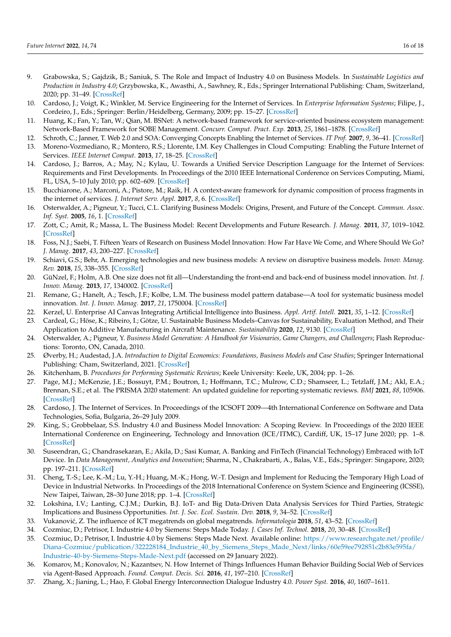- <span id="page-15-0"></span>9. Grabowska, S.; Gajdzik, B.; Saniuk, S. The Role and Impact of Industry 4.0 on Business Models. In *Sustainable Logistics and Production in Industry 4.0*; Grzybowska, K., Awasthi, A., Sawhney, R., Eds.; Springer International Publishing: Cham, Switzerland, 2020; pp. 31–49. [\[CrossRef\]](http://doi.org/10.1007/978-3-030-33369-0_3)
- <span id="page-15-1"></span>10. Cardoso, J.; Voigt, K.; Winkler, M. Service Engineering for the Internet of Services. In *Enterprise Information Systems*; Filipe, J., Cordeiro, J., Eds.; Springer: Berlin/Heidelberg, Germany, 2009; pp. 15–27. [\[CrossRef\]](http://doi.org/10.1007/978-3-642-00670-8_2)
- <span id="page-15-2"></span>11. Huang, K.; Fan, Y.; Tan, W.; Qian, M. BSNet: A network-based framework for service-oriented business ecosystem management: Network-Based Framework for SOBE Management. *Concurr. Comput. Pract. Exp.* **2013**, *25*, 1861–1878. [\[CrossRef\]](http://doi.org/10.1002/cpe.2987)
- <span id="page-15-3"></span>12. Schroth, C.; Janner, T. Web 2.0 and SOA: Converging Concepts Enabling the Internet of Services. *IT Prof.* **2007**, *9*, 36–41. [\[CrossRef\]](http://doi.org/10.1109/MITP.2007.60)
- <span id="page-15-4"></span>13. Moreno-Vozmediano, R.; Montero, R.S.; Llorente, I.M. Key Challenges in Cloud Computing: Enabling the Future Internet of Services. *IEEE Internet Comput.* **2013**, *17*, 18–25. [\[CrossRef\]](http://doi.org/10.1109/MIC.2012.69)
- <span id="page-15-5"></span>14. Cardoso, J.; Barros, A.; May, N.; Kylau, U. Towards a Unified Service Description Language for the Internet of Services: Requirements and First Developments. In Proceedings of the 2010 IEEE International Conference on Services Computing, Miami, FL, USA, 5–10 July 2010; pp. 602–609. [\[CrossRef\]](http://doi.org/10.1109/SCC.2010.93)
- <span id="page-15-6"></span>15. Bucchiarone, A.; Marconi, A.; Pistore, M.; Raik, H. A context-aware framework for dynamic composition of process fragments in the internet of services. *J. Internet Serv. Appl.* **2017**, *8*, 6. [\[CrossRef\]](http://doi.org/10.1186/s13174-017-0057-0)
- <span id="page-15-7"></span>16. Osterwalder, A.; Pigneur, Y.; Tucci, C.L. Clarifying Business Models: Origins, Present, and Future of the Concept. *Commun. Assoc. Inf. Syst.* **2005**, *16*, 1. [\[CrossRef\]](http://doi.org/10.17705/1CAIS.01601)
- <span id="page-15-8"></span>17. Zott, C.; Amit, R.; Massa, L. The Business Model: Recent Developments and Future Research. *J. Manag.* **2011**, *37*, 1019–1042. [\[CrossRef\]](http://doi.org/10.1177/0149206311406265)
- <span id="page-15-9"></span>18. Foss, N.J.; Saebi, T. Fifteen Years of Research on Business Model Innovation: How Far Have We Come, and Where Should We Go? *J. Manag.* **2017**, *43*, 200–227. [\[CrossRef\]](http://doi.org/10.1177/0149206316675927)
- <span id="page-15-10"></span>19. Schiavi, G.S.; Behr, A. Emerging technologies and new business models: A review on disruptive business models. *Innov. Manag. Rev.* **2018**, *15*, 338–355. [\[CrossRef\]](http://doi.org/10.1108/INMR-03-2018-0013)
- <span id="page-15-11"></span>20. GüNzel, F.; Holm, A.B. One size does not fit all—Understanding the front-end and back-end of business model innovation. *Int. J. Innov. Manag.* **2013**, *17*, 1340002. [\[CrossRef\]](http://doi.org/10.1142/S1363919613400021)
- 21. Remane, G.; Hanelt, A.; Tesch, J.F.; Kolbe, L.M. The business model pattern database—A tool for systematic business model innovation. *Int. J. Innov. Manag.* **2017**, *21*, 1750004. [\[CrossRef\]](http://doi.org/10.1142/S1363919617500049)
- 22. Kerzel, U. Enterprise AI Canvas Integrating Artificial Intelligence into Business. *Appl. Artif. Intell.* **2021**, *35*, 1–12. [\[CrossRef\]](http://doi.org/10.1080/08839514.2020.1826146)
- <span id="page-15-12"></span>23. Cardeal, G.; Höse, K.; Ribeiro, I.; Götze, U. Sustainable Business Models–Canvas for Sustainability, Evaluation Method, and Their Application to Additive Manufacturing in Aircraft Maintenance. *Sustainability* **2020**, *12*, 9130. [\[CrossRef\]](http://doi.org/10.3390/su12219130)
- <span id="page-15-13"></span>24. Osterwalder, A.; Pigneur, Y. *Business Model Generation: A Handbook for Visionaries, Game Changers, and Challengers*; Flash Reproductions: Toronto, ON, Canada, 2010.
- <span id="page-15-14"></span>25. Øverby, H.; Audestad, J.A. *Introduction to Digital Economics: Foundations, Business Models and Case Studies*; Springer International Publishing: Cham, Switzerland, 2021. [\[CrossRef\]](http://doi.org/10.1007/978-3-030-78237-5)
- <span id="page-15-15"></span>26. Kitchenham, B. *Procedures for Performing Systematic Reviews*; Keele University: Keele, UK, 2004; pp. 1–26.
- <span id="page-15-16"></span>27. Page, M.J.; McKenzie, J.E.; Bossuyt, P.M.; Boutron, I.; Hoffmann, T.C.; Mulrow, C.D.; Shamseer, L.; Tetzlaff, J.M.; Akl, E.A.; Brennan, S.E.; et al. The PRISMA 2020 statement: An updated guideline for reporting systematic reviews. *BMJ* **2021**, *88*, 105906. [\[CrossRef\]](http://doi.org/10.1136/bmj.n71)
- <span id="page-15-17"></span>28. Cardoso, J. The Internet of Services. In Proceedings of the ICSOFT 2009—4th International Conference on Software and Data Technologies, Sofia, Bulgaria, 26–29 July 2009.
- <span id="page-15-18"></span>29. King, S.; Grobbelaar, S.S. Industry 4.0 and Business Model Innovation: A Scoping Review. In Proceedings of the 2020 IEEE International Conference on Engineering, Technology and Innovation (ICE/ITMC), Cardiff, UK, 15–17 June 2020; pp. 1–8. [\[CrossRef\]](http://doi.org/10.1109/ICE/ITMC49519.2020.9198424)
- <span id="page-15-19"></span>30. Suseendran, G.; Chandrasekaran, E.; Akila, D.; Sasi Kumar, A. Banking and FinTech (Financial Technology) Embraced with IoT Device. In *Data Management, Analytics and Innovation*; Sharma, N., Chakrabarti, A., Balas, V.E., Eds.; Springer: Singapore, 2020; pp. 197–211. [\[CrossRef\]](http://doi.org/10.1007/978-981-32-9949-8_15)
- <span id="page-15-20"></span>31. Cheng, T.-S.; Lee, K.-M.; Lu, Y.-H.; Huang, M.-K.; Hong, W.-T. Design and Implement for Reducing the Temporary High Load of Device in Industrial Networks. In Proceedings of the 2018 International Conference on System Science and Engineering (ICSSE), New Taipei, Taiwan, 28–30 June 2018; pp. 1–4. [\[CrossRef\]](http://doi.org/10.1109/ICSSE.2018.8519966)
- <span id="page-15-21"></span>32. Lokshina, I.V.; Lanting, C.J.M.; Durkin, B.J. IoT- and Big Data-Driven Data Analysis Services for Third Parties, Strategic Implications and Business Opportunities. *Int. J. Soc. Ecol. Sustain. Dev.* **2018**, *9*, 34–52. [\[CrossRef\]](http://doi.org/10.4018/IJSESD.2018070103)
- <span id="page-15-22"></span>33. Vukanovi´c, Z. The influence of ICT megatrends on global megatrends. *Informatologia* **2018**, *51*, 43–52. [\[CrossRef\]](http://doi.org/10.32914/i.51.1-2.5)
- <span id="page-15-23"></span>34. Cozmiuc, D.; Petrisor, I. Industrie 4.0 by Siemens: Steps Made Today. *J. Cases Inf. Technol.* **2018**, *20*, 30–48. [\[CrossRef\]](http://doi.org/10.4018/JCIT.2018040103)
- <span id="page-15-24"></span>35. Cozmiuc, D.; Petrisor, I. Industrie 4.0 by Siemens: Steps Made Next. Available online: [https://www.researchgate.net/profile/](https://www.researchgate.net/profile/Diana-Cozmiuc/publication/322228184_Industrie_40_by_Siemens_Steps_Made_Next/links/60e59ee792851c2b83e595fa/Industrie-40-by-Siemens-Steps-Made-Next.pdf) [Diana-Cozmiuc/publication/322228184\\_Industrie\\_40\\_by\\_Siemens\\_Steps\\_Made\\_Next/links/60e59ee792851c2b83e595fa/](https://www.researchgate.net/profile/Diana-Cozmiuc/publication/322228184_Industrie_40_by_Siemens_Steps_Made_Next/links/60e59ee792851c2b83e595fa/Industrie-40-by-Siemens-Steps-Made-Next.pdf) [Industrie-40-by-Siemens-Steps-Made-Next.pdf](https://www.researchgate.net/profile/Diana-Cozmiuc/publication/322228184_Industrie_40_by_Siemens_Steps_Made_Next/links/60e59ee792851c2b83e595fa/Industrie-40-by-Siemens-Steps-Made-Next.pdf) (accessed on 29 January 2022).
- <span id="page-15-25"></span>36. Komarov, M.; Konovalov, N.; Kazantsev, N. How Internet of Things Influences Human Behavior Building Social Web of Services via Agent-Based Approach. *Found. Comput. Decis. Sci.* **2016**, *41*, 197–210. [\[CrossRef\]](http://doi.org/10.1515/fcds-2016-0012)
- <span id="page-15-26"></span>37. Zhang, X.; Jianing, L.; Hao, F. Global Energy Interconnection Dialogue Industry 4.0. *Power Syst.* **2016**, *40*, 1607–1611.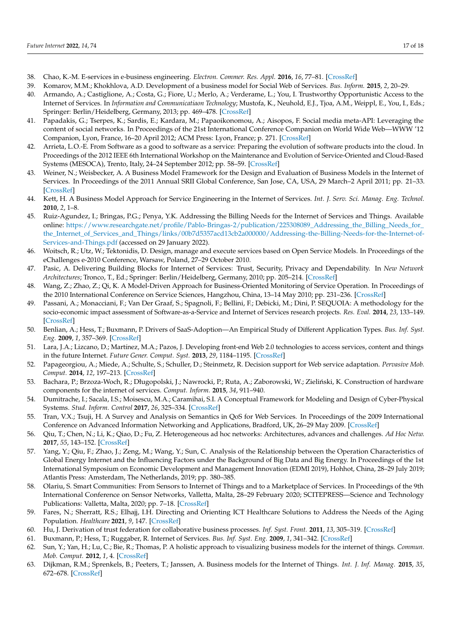- <span id="page-16-0"></span>38. Chao, K.-M. E-services in e-business engineering. *Electron. Commer. Res. Appl.* **2016**, *16*, 77–81. [\[CrossRef\]](http://doi.org/10.1016/j.elerap.2015.10.004)
- <span id="page-16-1"></span>39. Komarov, M.M.; Khokhlova, A.D. Development of a business model for Social Web of Services. *Bus. Inform.* **2015**, *2*, 20–29.
- <span id="page-16-2"></span>40. Armando, A.; Castiglione, A.; Costa, G.; Fiore, U.; Merlo, A.; Verderame, L.; You, I. Trustworthy Opportunistic Access to the Internet of Services. In *Information and Communicatiaon Technology*; Mustofa, K., Neuhold, E.J., Tjoa, A.M., Weippl, E., You, I., Eds.; Springer: Berlin/Heidelberg, Germany, 2013; pp. 469–478. [\[CrossRef\]](http://doi.org/10.1007/978-3-642-36818-9_52)
- <span id="page-16-3"></span>41. Papadakis, G.; Tserpes, K.; Sardis, E.; Kardara, M.; Papaoikonomou, A.; Aisopos, F. Social media meta-API: Leveraging the content of social networks. In Proceedings of the 21st International Conference Companion on World Wide Web—WWW '12 Companion, Lyon, France, 16–20 April 2012; ACM Press: Lyon, France; p. 271. [\[CrossRef\]](http://doi.org/10.1145/2187980.2188026)
- <span id="page-16-4"></span>42. Arrieta, L.O.-E. From Software as a good to software as a service: Preparing the evolution of software products into the cloud. In Proceedings of the 2012 IEEE 6th International Workshop on the Maintenance and Evolution of Service-Oriented and Cloud-Based Systems (MESOCA), Trento, Italy, 24–24 September 2012; pp. 58–59. [\[CrossRef\]](http://doi.org/10.1109/MESOCA.2012.6392595)
- <span id="page-16-5"></span>43. Weiner, N.; Weisbecker, A. A Business Model Framework for the Design and Evaluation of Business Models in the Internet of Services. In Proceedings of the 2011 Annual SRII Global Conference, San Jose, CA, USA, 29 March–2 April 2011; pp. 21–33. [\[CrossRef\]](http://doi.org/10.1109/SRII.2011.13)
- <span id="page-16-6"></span>44. Kett, H. A Business Model Approach for Service Engineering in the Internet of Services. *Int. J. Serv. Sci. Manag. Eng. Technol.* **2010**, *2*, 1–8.
- <span id="page-16-7"></span>45. Ruiz-Agundez, I.; Bringas, P.G.; Penya, Y.K. Addressing the Billing Needs for the Internet of Services and Things. Available online: [https://www.researchgate.net/profile/Pablo-Bringas-2/publication/225308089\\_Addressing\\_the\\_Billing\\_Needs\\_for\\_](https://www.researchgate.net/profile/Pablo-Bringas-2/publication/225308089_Addressing_the_Billing_Needs_for_the_Internet_of_Services_and_Things/links/00b7d5357acd13cb2a000000/Addressing-the-Billing-Needs-for-the-Internet-of-Services-and-Things.pdf) [the\\_Internet\\_of\\_Services\\_and\\_Things/links/00b7d5357acd13cb2a000000/Addressing-the-Billing-Needs-for-the-Internet-of-](https://www.researchgate.net/profile/Pablo-Bringas-2/publication/225308089_Addressing_the_Billing_Needs_for_the_Internet_of_Services_and_Things/links/00b7d5357acd13cb2a000000/Addressing-the-Billing-Needs-for-the-Internet-of-Services-and-Things.pdf)[Services-and-Things.pdf](https://www.researchgate.net/profile/Pablo-Bringas-2/publication/225308089_Addressing_the_Billing_Needs_for_the_Internet_of_Services_and_Things/links/00b7d5357acd13cb2a000000/Addressing-the-Billing-Needs-for-the-Internet-of-Services-and-Things.pdf) (accessed on 29 January 2022).
- <span id="page-16-8"></span>46. Woitsch, R.; Utz, W.; Tektonidis, D. Design, manage and execute services based on Open Service Models. In Proceedings of the eChallenges e-2010 Conference, Warsaw, Poland, 27–29 October 2010.
- <span id="page-16-9"></span>47. Pasic, A. Delivering Building Blocks for Internet of Services: Trust, Security, Privacy and Dependability. In *New Network Architectures*; Tronco, T., Ed.; Springer: Berlin/Heidelberg, Germany, 2010; pp. 205–214. [\[CrossRef\]](http://doi.org/10.1007/978-3-642-13247-6_12)
- <span id="page-16-10"></span>48. Wang, Z.; Zhao, Z.; Qi, K. A Model-Driven Approach for Business-Oriented Monitoring of Service Operation. In Proceedings of the 2010 International Conference on Service Sciences, Hangzhou, China, 13–14 May 2010; pp. 231–236. [\[CrossRef\]](http://doi.org/10.1109/ICSS.2010.28)
- <span id="page-16-11"></span>49. Passani, A.; Monacciani, F.; Van Der Graaf, S.; Spagnoli, F.; Bellini, F.; Debicki, M.; Dini, P. SEQUOIA: A methodology for the socio-economic impact assessment of Software-as-a-Service and Internet of Services research projects. *Res. Eval.* **2014**, *23*, 133–149. [\[CrossRef\]](http://doi.org/10.1093/reseval/rvu004)
- <span id="page-16-12"></span>50. Benlian, A.; Hess, T.; Buxmann, P. Drivers of SaaS-Adoption—An Empirical Study of Different Application Types. *Bus. Inf. Syst. Eng.* **2009**, *1*, 357–369. [\[CrossRef\]](http://doi.org/10.1007/s12599-009-0068-x)
- <span id="page-16-13"></span>51. Lara, J.A.; Lizcano, D.; Martínez, M.A.; Pazos, J. Developing front-end Web 2.0 technologies to access services, content and things in the future Internet. *Future Gener. Comput. Syst.* **2013**, *29*, 1184–1195. [\[CrossRef\]](http://doi.org/10.1016/j.future.2013.01.006)
- <span id="page-16-14"></span>52. Papageorgiou, A.; Miede, A.; Schulte, S.; Schuller, D.; Steinmetz, R. Decision support for Web service adaptation. *Pervasive Mob. Comput.* **2014**, *12*, 197–213. [\[CrossRef\]](http://doi.org/10.1016/j.pmcj.2013.10.004)
- <span id="page-16-15"></span>53. Bachara, P.; Brzoza-Woch, R.; Długopolski, J.; Nawrocki, P.; Ruta, A.; Zaborowski, W.; Zieliński, K. Construction of hardware components for the internet of services. *Comput. Inform.* **2015**, *34*, 911–940.
- <span id="page-16-16"></span>54. Dumitrache, I.; Sacala, I.S.; Moisescu, M.A.; Caramihai, S.I. A Conceptual Framework for Modeling and Design of Cyber-Physical Systems. *Stud. Inform. Control* **2017**, *26*, 325–334. [\[CrossRef\]](http://doi.org/10.24846/v26i3y201708)
- <span id="page-16-17"></span>55. Tran, V.X.; Tsuji, H. A Survey and Analysis on Semantics in QoS for Web Services. In Proceedings of the 2009 International Conference on Advanced Information Networking and Applications, Bradford, UK, 26–29 May 2009. [\[CrossRef\]](http://doi.org/10.1109/AINA.2009.43)
- <span id="page-16-18"></span>56. Qiu, T.; Chen, N.; Li, K.; Qiao, D.; Fu, Z. Heterogeneous ad hoc networks: Architectures, advances and challenges. *Ad Hoc Netw.* **2017**, *55*, 143–152. [\[CrossRef\]](http://doi.org/10.1016/j.adhoc.2016.11.001)
- <span id="page-16-19"></span>57. Yang, Y.; Qiu, F.; Zhao, J.; Zeng, M.; Wang, Y.; Sun, C. Analysis of the Relationship between the Operation Characteristics of Global Energy Internet and the Influencing Factors under the Background of Big Data and Big Energy. In Proceedings of the 1st International Symposium on Economic Development and Management Innovation (EDMI 2019), Hohhot, China, 28–29 July 2019; Atlantis Press: Amsterdam, The Netherlands, 2019; pp. 380–385.
- <span id="page-16-20"></span>58. Olariu, S. Smart Communities: From Sensors to Internet of Things and to a Marketplace of Services. In Proceedings of the 9th International Conference on Sensor Networks, Valletta, Malta, 28–29 February 2020; SCITEPRESS—Science and Technology Publications: Valletta, Malta, 2020; pp. 7–18. [\[CrossRef\]](http://doi.org/10.5220/0009430700070018)
- <span id="page-16-21"></span>59. Fares, N.; Sherratt, R.S.; Elhajj, I.H. Directing and Orienting ICT Healthcare Solutions to Address the Needs of the Aging Population. *Healthcare* **2021**, *9*, 147. [\[CrossRef\]](http://doi.org/10.3390/healthcare9020147)
- <span id="page-16-22"></span>60. Hu, J. Derivation of trust federation for collaborative business processes. *Inf. Syst. Front.* **2011**, *13*, 305–319. [\[CrossRef\]](http://doi.org/10.1007/s10796-010-9282-9)
- <span id="page-16-23"></span>61. Buxmann, P.; Hess, T.; Ruggaber, R. Internet of Services. *Bus. Inf. Syst. Eng.* **2009**, *1*, 341–342. [\[CrossRef\]](http://doi.org/10.1007/s12599-009-0066-z)
- <span id="page-16-24"></span>62. Sun, Y.; Yan, H.; Lu, C.; Bie, R.; Thomas, P. A holistic approach to visualizing business models for the internet of things. *Commun. Mob. Comput.* **2012**, *1*, 4. [\[CrossRef\]](http://doi.org/10.1186/2192-1121-1-4)
- 63. Dijkman, R.M.; Sprenkels, B.; Peeters, T.; Janssen, A. Business models for the Internet of Things. *Int. J. Inf. Manag.* **2015**, *35*, 672–678. [\[CrossRef\]](http://doi.org/10.1016/j.ijinfomgt.2015.07.008)